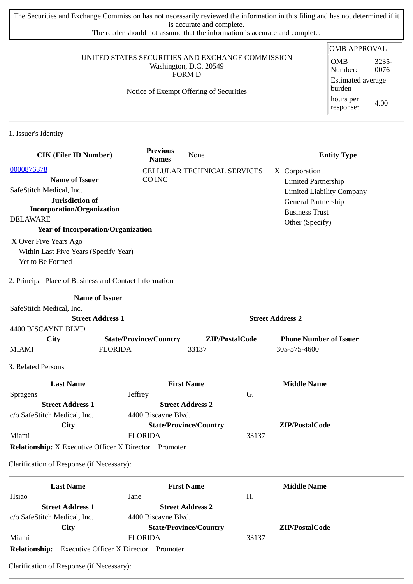The Securities and Exchange Commission has not necessarily reviewed the information in this filing and has not determined if it is accurate and complete.

The reader should not assume that the information is accurate and complete.

## UNITED STATES SECURITIES AND EXCHANGE COMMISSION Washington, D.C. 20549 FORM D

## Notice of Exempt Offering of Securities

| OMB APPROVAL                       |               |  |  |
|------------------------------------|---------------|--|--|
| OMB<br>Number:                     | 3235-<br>0076 |  |  |
| <b>Estimated average</b><br>burden |               |  |  |
| hours per<br>response:             | 4.00          |  |  |

1. Issuer's Identity

| <b>CIK (Filer ID Number)</b>                                 |                         | <b>Previous</b><br><b>Names</b> | None                          |                         | <b>Entity Type</b>               |
|--------------------------------------------------------------|-------------------------|---------------------------------|-------------------------------|-------------------------|----------------------------------|
| 0000876378                                                   |                         |                                 | CELLULAR TECHNICAL SERVICES   |                         | X Corporation                    |
| <b>Name of Issuer</b>                                        |                         | CO INC                          |                               |                         | <b>Limited Partnership</b>       |
| SafeStitch Medical, Inc.                                     |                         |                                 |                               |                         | <b>Limited Liability Company</b> |
| Jurisdiction of                                              |                         |                                 |                               |                         | General Partnership              |
| <b>Incorporation/Organization</b>                            |                         |                                 |                               |                         | <b>Business Trust</b>            |
| <b>DELAWARE</b>                                              |                         |                                 |                               |                         | Other (Specify)                  |
| <b>Year of Incorporation/Organization</b>                    |                         |                                 |                               |                         |                                  |
| X Over Five Years Ago                                        |                         |                                 |                               |                         |                                  |
| Within Last Five Years (Specify Year)                        |                         |                                 |                               |                         |                                  |
| Yet to Be Formed                                             |                         |                                 |                               |                         |                                  |
| 2. Principal Place of Business and Contact Information       |                         |                                 |                               |                         |                                  |
|                                                              | <b>Name of Issuer</b>   |                                 |                               |                         |                                  |
| SafeStitch Medical, Inc.                                     |                         |                                 |                               |                         |                                  |
|                                                              | <b>Street Address 1</b> |                                 |                               | <b>Street Address 2</b> |                                  |
| 4400 BISCAYNE BLVD.                                          |                         |                                 |                               |                         |                                  |
| City                                                         |                         | <b>State/Province/Country</b>   | ZIP/PostalCode                |                         | <b>Phone Number of Issuer</b>    |
| <b>MIAMI</b>                                                 | <b>FLORIDA</b>          |                                 | 33137                         |                         | 305-575-4600                     |
| 3. Related Persons                                           |                         |                                 |                               |                         |                                  |
| <b>Last Name</b>                                             |                         |                                 | <b>First Name</b>             |                         | <b>Middle Name</b>               |
| <b>Spragens</b>                                              | Jeffrey                 |                                 |                               | G.                      |                                  |
| <b>Street Address 1</b>                                      |                         |                                 | <b>Street Address 2</b>       |                         |                                  |
| c/o SafeStitch Medical, Inc.                                 |                         | 4400 Biscayne Blvd.             |                               |                         |                                  |
| City                                                         |                         |                                 | <b>State/Province/Country</b> |                         | ZIP/PostalCode                   |
| Miami                                                        |                         | <b>FLORIDA</b>                  |                               | 33137                   |                                  |
| <b>Relationship:</b> X Executive Officer X Director Promoter |                         |                                 |                               |                         |                                  |
| Clarification of Response (if Necessary):                    |                         |                                 |                               |                         |                                  |
| <b>Last Name</b>                                             |                         |                                 | <b>First Name</b>             |                         | <b>Middle Name</b>               |

|                              | Last Ivalile                                 | FIFSt INAMIC                  |       | <b>Foundation</b> |
|------------------------------|----------------------------------------------|-------------------------------|-------|-------------------|
| Hsiao                        |                                              | Jane                          | Н.    |                   |
|                              | <b>Street Address 1</b>                      | <b>Street Address 2</b>       |       |                   |
| c/o SafeStitch Medical, Inc. |                                              | 4400 Biscayne Blvd.           |       |                   |
|                              | City                                         | <b>State/Province/Country</b> |       | ZIP/PostalCode    |
| Miami                        |                                              | <b>FLORIDA</b>                | 33137 |                   |
| <b>Relationship:</b>         | <b>Executive Officer X Director Promoter</b> |                               |       |                   |

Clarification of Response (if Necessary):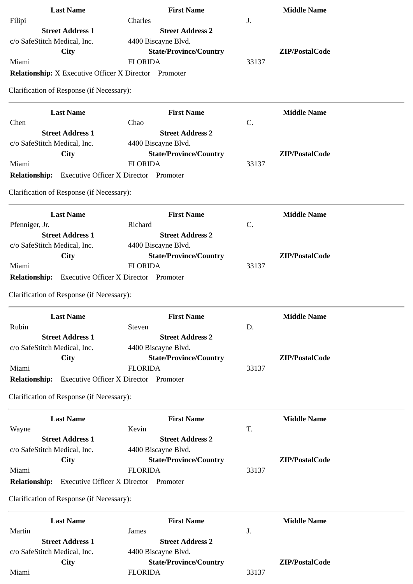| <b>Last Name</b>                                             | <b>First Name</b>                            | <b>Middle Name</b> |
|--------------------------------------------------------------|----------------------------------------------|--------------------|
| Filipi                                                       | Charles                                      | J.                 |
| <b>Street Address 1</b>                                      | <b>Street Address 2</b>                      |                    |
| c/o SafeStitch Medical, Inc.                                 | 4400 Biscayne Blvd.                          |                    |
| <b>City</b>                                                  | <b>State/Province/Country</b>                | ZIP/PostalCode     |
| Miami                                                        | <b>FLORIDA</b>                               | 33137              |
| <b>Relationship:</b> X Executive Officer X Director Promoter |                                              |                    |
| Clarification of Response (if Necessary):                    |                                              |                    |
|                                                              |                                              |                    |
| <b>Last Name</b>                                             | <b>First Name</b>                            | <b>Middle Name</b> |
| Chen                                                         | Chao                                         | C.                 |
| <b>Street Address 1</b>                                      | <b>Street Address 2</b>                      |                    |
| c/o SafeStitch Medical, Inc.                                 | 4400 Biscayne Blvd.                          |                    |
| City                                                         | <b>State/Province/Country</b>                | ZIP/PostalCode     |
| Miami                                                        | <b>FLORIDA</b>                               | 33137              |
| <b>Relationship:</b>                                         | <b>Executive Officer X Director Promoter</b> |                    |
|                                                              |                                              |                    |
| Clarification of Response (if Necessary):                    |                                              |                    |
| <b>Last Name</b>                                             | <b>First Name</b>                            | <b>Middle Name</b> |
| Pfenniger, Jr.                                               | Richard                                      | C.                 |
| <b>Street Address 1</b>                                      | <b>Street Address 2</b>                      |                    |
| c/o SafeStitch Medical, Inc.                                 | 4400 Biscayne Blvd.                          |                    |
|                                                              |                                              | ZIP/PostalCode     |
| <b>City</b>                                                  | <b>State/Province/Country</b>                |                    |
| Miami                                                        | <b>FLORIDA</b>                               | 33137              |
| <b>Relationship:</b>                                         | <b>Executive Officer X Director Promoter</b> |                    |
| Clarification of Response (if Necessary):                    |                                              |                    |
| <b>Last Name</b>                                             | <b>First Name</b>                            | <b>Middle Name</b> |
| Rubin                                                        | Steven                                       | D.                 |
| <b>Street Address 1</b>                                      | <b>Street Address 2</b>                      |                    |
| c/o SafeStitch Medical, Inc.                                 | 4400 Biscayne Blvd.                          |                    |
| <b>City</b>                                                  | <b>State/Province/Country</b>                | ZIP/PostalCode     |
| Miami                                                        | <b>FLORIDA</b>                               | 33137              |
| <b>Relationship:</b>                                         | <b>Executive Officer X Director Promoter</b> |                    |
|                                                              |                                              |                    |
| Clarification of Response (if Necessary):                    |                                              |                    |
| <b>Last Name</b>                                             | <b>First Name</b>                            | <b>Middle Name</b> |
| Wayne                                                        | Kevin                                        | T.                 |
| <b>Street Address 1</b>                                      | <b>Street Address 2</b>                      |                    |
| c/o SafeStitch Medical, Inc.                                 | 4400 Biscayne Blvd.                          |                    |
| <b>City</b>                                                  | <b>State/Province/Country</b>                | ZIP/PostalCode     |
| Miami                                                        | <b>FLORIDA</b>                               | 33137              |
|                                                              |                                              |                    |
| <b>Relationship:</b>                                         | <b>Executive Officer X Director Promoter</b> |                    |
| Clarification of Response (if Necessary):                    |                                              |                    |
| <b>Last Name</b>                                             | <b>First Name</b>                            | <b>Middle Name</b> |
| Martin                                                       | James                                        | J.                 |
|                                                              |                                              |                    |
| <b>Street Address 1</b>                                      | <b>Street Address 2</b>                      |                    |
| c/o SafeStitch Medical, Inc.                                 | 4400 Biscayne Blvd.                          |                    |
| City                                                         | <b>State/Province/Country</b>                | ZIP/PostalCode     |
| Miami                                                        | <b>FLORIDA</b>                               | 33137              |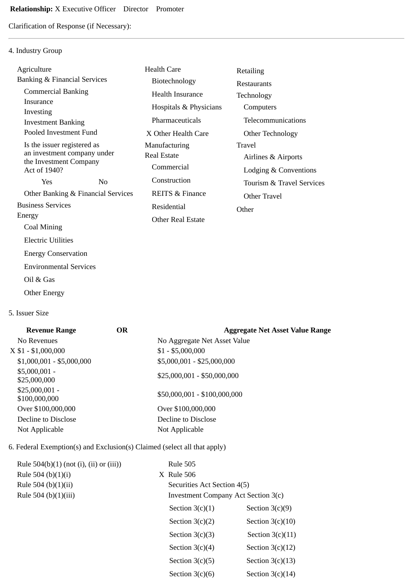Clarification of Response (if Necessary):

## 4. Industry Group

| Agriculture                                           |                | <b>Health Care</b>         | Retailing                 |
|-------------------------------------------------------|----------------|----------------------------|---------------------------|
| <b>Banking &amp; Financial Services</b>               |                | Biotechnology              | Restaurants               |
| <b>Commercial Banking</b>                             |                | <b>Health Insurance</b>    | Technology                |
| Insurance                                             |                | Hospitals & Physicians     | Computers                 |
| Investing<br><b>Investment Banking</b>                |                | Pharmaceuticals            | Telecommunications        |
| Pooled Investment Fund                                |                | X Other Health Care        | Other Technology          |
| Is the issuer registered as                           |                | Manufacturing              | Travel                    |
| an investment company under<br>the Investment Company |                | <b>Real Estate</b>         | Airlines & Airports       |
| Act of 1940?                                          |                | Commercial                 | Lodging & Conventions     |
| Yes                                                   | N <sub>0</sub> | Construction               | Tourism & Travel Services |
| Other Banking & Financial Services                    |                | <b>REITS &amp; Finance</b> | Other Travel              |
| <b>Business Services</b>                              |                | Residential                | Other                     |
| Energy                                                |                | <b>Other Real Estate</b>   |                           |
| Coal Mining                                           |                |                            |                           |
| <b>Electric Utilities</b>                             |                |                            |                           |
| <b>Energy Conservation</b>                            |                |                            |                           |
| <b>Environmental Services</b>                         |                |                            |                           |
|                                                       |                |                            |                           |

- Oil & Gas
- Other Energy
- 5. Issuer Size

| <b>Revenue Range</b>             | <b>OR</b> | <b>Aggregate Net Asset Value Range</b> |
|----------------------------------|-----------|----------------------------------------|
| No Revenues                      |           | No Aggregate Net Asset Value           |
| $X $1 - $1,000,000$              |           | $$1 - $5,000,000$                      |
| $$1,000,001 - $5,000,000$        |           | \$5,000,001 - \$25,000,000             |
| $$5,000,001 -$<br>\$25,000,000   |           | $$25,000,001 - $50,000,000$            |
| $$25,000,001 -$<br>\$100,000,000 |           | \$50,000,001 - \$100,000,000           |
| Over \$100,000,000               |           | Over \$100,000,000                     |
| Decline to Disclose              |           | Decline to Disclose                    |
| Not Applicable                   |           | Not Applicable                         |
|                                  |           |                                        |

## 6. Federal Exemption(s) and Exclusion(s) Claimed (select all that apply)

| Rule $504(b)(1)$ (not (i), (ii) or (iii)) | <b>Rule 505</b>                            |                    |
|-------------------------------------------|--------------------------------------------|--------------------|
| Rule 504 (b) $(1)(i)$                     | $X$ Rule 506                               |                    |
| Rule 504 (b) $(1)(ii)$                    | Securities Act Section 4(5)                |                    |
| Rule 504 (b)(1)(iii)                      | <b>Investment Company Act Section 3(c)</b> |                    |
|                                           | Section $3(c)(1)$                          | Section $3(c)(9)$  |
|                                           | Section $3(c)(2)$                          | Section $3(c)(10)$ |
|                                           | Section $3(c)(3)$                          | Section $3(c)(11)$ |
|                                           | Section $3(c)(4)$                          | Section $3(c)(12)$ |
|                                           | Section $3(c)(5)$                          | Section $3(c)(13)$ |
|                                           | Section $3(c)(6)$                          | Section $3(c)(14)$ |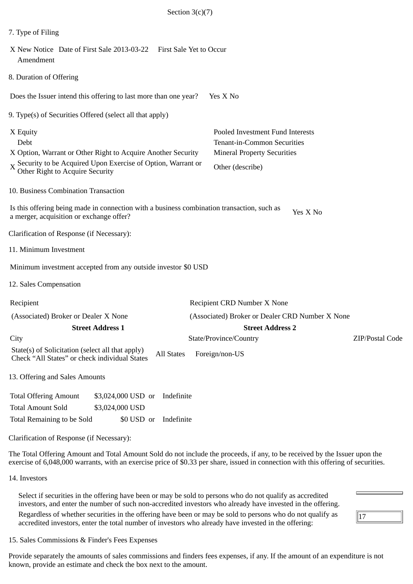| 7. Type of Filing                                                                                                                                                                              |                                                                                                                           |                 |
|------------------------------------------------------------------------------------------------------------------------------------------------------------------------------------------------|---------------------------------------------------------------------------------------------------------------------------|-----------------|
| X New Notice Date of First Sale 2013-03-22    First Sale Yet to Occur<br>Amendment                                                                                                             |                                                                                                                           |                 |
| 8. Duration of Offering                                                                                                                                                                        |                                                                                                                           |                 |
| Does the Issuer intend this offering to last more than one year?                                                                                                                               | Yes X No                                                                                                                  |                 |
| 9. Type(s) of Securities Offered (select all that apply)                                                                                                                                       |                                                                                                                           |                 |
| X Equity<br>Debt<br>X Option, Warrant or Other Right to Acquire Another Security<br>$X \cong X$ Security to be Acquired Upon Exercise of Option, Warrant or<br>Other Right to Acquire Security | Pooled Investment Fund Interests<br>Tenant-in-Common Securities<br><b>Mineral Property Securities</b><br>Other (describe) |                 |
| 10. Business Combination Transaction                                                                                                                                                           |                                                                                                                           |                 |
| Is this offering being made in connection with a business combination transaction, such as<br>a merger, acquisition or exchange offer?                                                         | Yes X No                                                                                                                  |                 |
| Clarification of Response (if Necessary):                                                                                                                                                      |                                                                                                                           |                 |
| 11. Minimum Investment                                                                                                                                                                         |                                                                                                                           |                 |
| Minimum investment accepted from any outside investor \$0 USD                                                                                                                                  |                                                                                                                           |                 |
| 12. Sales Compensation                                                                                                                                                                         |                                                                                                                           |                 |
| Recipient                                                                                                                                                                                      | Recipient CRD Number X None                                                                                               |                 |
| (Associated) Broker or Dealer X None<br><b>Street Address 1</b>                                                                                                                                | (Associated) Broker or Dealer CRD Number X None<br><b>Street Address 2</b>                                                |                 |
| City                                                                                                                                                                                           | State/Province/Country                                                                                                    | ZIP/Postal Code |
| State(s) of Solicitation (select all that apply)<br><b>All States</b><br>Check "All States" or check individual States                                                                         | Foreign/non-US                                                                                                            |                 |
| 13. Offering and Sales Amounts                                                                                                                                                                 |                                                                                                                           |                 |
| <b>Total Offering Amount</b><br>\$3,024,000 USD or<br>Indefinite<br><b>Total Amount Sold</b><br>\$3,024,000 USD<br>Total Remaining to be Sold<br>Indefinite<br>\$0 USD or                      |                                                                                                                           |                 |
| Clarification of Response (if Necessary):                                                                                                                                                      |                                                                                                                           |                 |

The Total Offering Amount and Total Amount Sold do not include the proceeds, if any, to be received by the Issuer upon the exercise of 6,048,000 warrants, with an exercise price of \$0.33 per share, issued in connection with this offering of securities.

14. Investors

Select if securities in the offering have been or may be sold to persons who do not qualify as accredited investors, and enter the number of such non-accredited investors who already have invested in the offering. Regardless of whether securities in the offering have been or may be sold to persons who do not qualify as accredited investors, enter the total number of investors who already have invested in the offering:

 $\sqrt{17}$ 

15. Sales Commissions & Finder's Fees Expenses

Provide separately the amounts of sales commissions and finders fees expenses, if any. If the amount of an expenditure is not known, provide an estimate and check the box next to the amount.